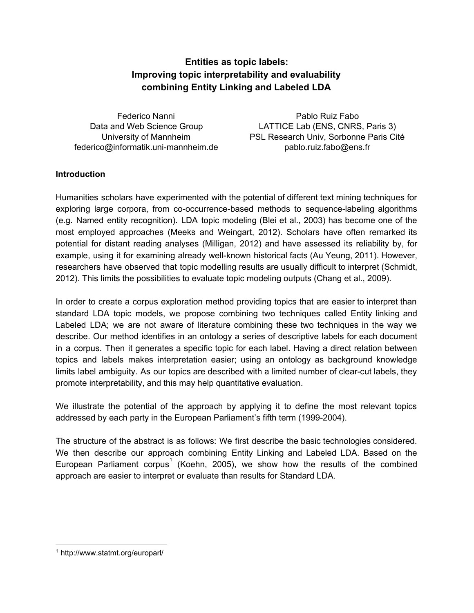# **Entities as topic labels: Improving topic interpretability and evaluability combining Entity Linking and Labeled LDA**

Federico Nanni Data and Web Science Group University of Mannheim federico@informatik.uni-mannheim.de

Pablo Ruiz Fabo LATTICE Lab (ENS, CNRS, Paris 3) PSL Research Univ, Sorbonne Paris Cité pablo.ruiz.fabo@ens.fr

# **Introduction**

Humanities scholars have experimented with the potential of different text mining techniques for exploring large corpora, from co-occurrence-based methods to sequence-labeling algorithms (e.g. Named entity recognition). LDA topic modeling (Blei et al., 2003) has become one of the most employed approaches (Meeks and Weingart, 2012). Scholars have often remarked its potential for distant reading analyses (Milligan, 2012) and have assessed its reliability by, for example, using it for examining already well-known historical facts (Au Yeung, 2011). However, researchers have observed that topic modelling results are usually difficult to interpret (Schmidt, 2012). This limits the possibilities to evaluate topic modeling outputs (Chang et al., 2009).

In order to create a corpus exploration method providing topics that are easier to interpret than standard LDA topic models, we propose combining two techniques called Entity linking and Labeled LDA; we are not aware of literature combining these two techniques in the way we describe. Our method identifies in an ontology a series of descriptive labels for each document in a corpus. Then it generates a specific topic for each label. Having a direct relation between topics and labels makes interpretation easier; using an ontology as background knowledge limits label ambiguity. As our topics are described with a limited number of clear-cut labels, they promote interpretability, and this may help quantitative evaluation.

We illustrate the potential of the approach by applying it to define the most relevant topics addressed by each party in the European Parliament's fifth term (1999-2004).

The structure of the abstract is as follows: We first describe the basic technologies considered. We then describe our approach combining Entity Linking and Labeled LDA. Based on the European Parliament corpus<sup>1</sup> (Koehn, 2005), we show how the results of the combined approach are easier to interpret or evaluate than results for Standard LDA.

<sup>1</sup> http://www.statmt.org/europarl/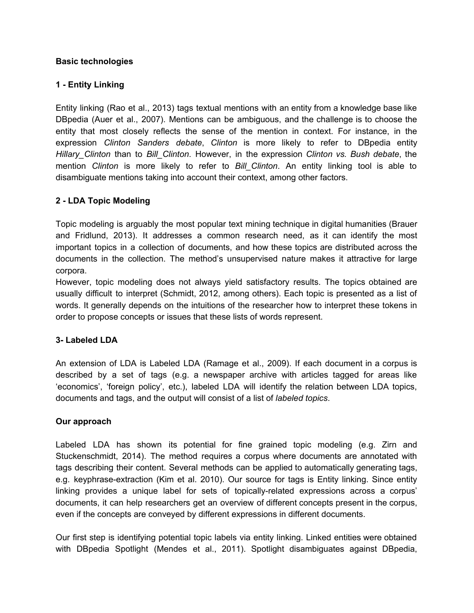## **Basic technologies**

## **1 Entity Linking**

Entity linking (Rao et al., 2013) tags textual mentions with an entity from a knowledge base like DBpedia (Auer et al., 2007). Mentions can be ambiguous, and the challenge is to choose the entity that most closely reflects the sense of the mention in context. For instance, in the expression *Clinton Sanders debate*, *Clinton* is more likely to refer to DBpedia entity *Hillary\_Clinton* than to *Bill\_Clinton*. However, in the expression *Clinton vs. Bush debate*, the mention *Clinton* is more likely to refer to *Bill\_Clinton*. An entity linking tool is able to disambiguate mentions taking into account their context, among other factors.

## **2 LDA Topic Modeling**

Topic modeling is arguably the most popular text mining technique in digital humanities (Brauer and Fridlund, 2013). It addresses a common research need, as it can identify the most important topics in a collection of documents, and how these topics are distributed across the documents in the collection. The method's unsupervised nature makes it attractive for large corpora.

However, topic modeling does not always yield satisfactory results. The topics obtained are usually difficult to interpret (Schmidt, 2012, among others). Each topic is presented as a list of words. It generally depends on the intuitions of the researcher how to interpret these tokens in order to propose concepts or issues that these lists of words represent.

### **3 Labeled LDA**

An extension of LDA is Labeled LDA (Ramage et al., 2009). If each document in a corpus is described by a set of tags (e.g. a newspaper archive with articles tagged for areas like 'economics', 'foreign policy', etc.), labeled LDA will identify the relation between LDA topics, documents and tags, and the output will consist of a list of *labeled topics*.

### **Our approach**

Labeled LDA has shown its potential for fine grained topic modeling (e.g. Zirn and Stuckenschmidt, 2014). The method requires a corpus where documents are annotated with tags describing their content. Several methods can be applied to automatically generating tags, e.g. keyphrase-extraction (Kim et al. 2010). Our source for tags is Entity linking. Since entity linking provides a unique label for sets of topically-related expressions across a corpus' documents, it can help researchers get an overview of different concepts present in the corpus, even if the concepts are conveyed by different expressions in different documents.

Our first step is identifying potential topic labels via entity linking. Linked entities were obtained with DBpedia Spotlight (Mendes et al., 2011). Spotlight disambiguates against DBpedia,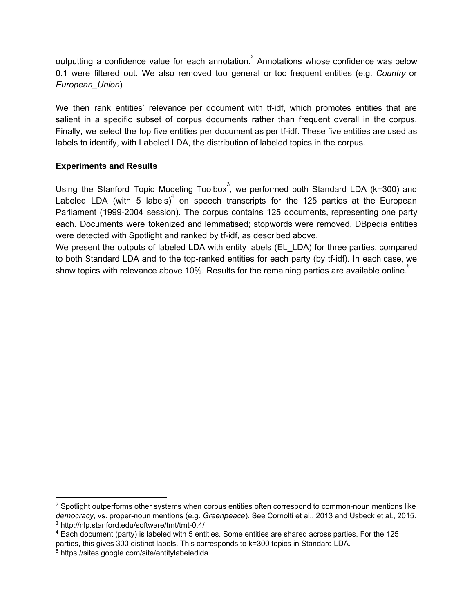outputting a confidence value for each annotation.<sup>2</sup> Annotations whose confidence was below 0.1 were filtered out. We also removed too general or too frequent entities (e.g. *Country* or *European\_Union*)

We then rank entities' relevance per document with tf-idf, which promotes entities that are salient in a specific subset of corpus documents rather than frequent overall in the corpus. Finally, we select the top five entities per document as per tf-idf. These five entities are used as labels to identify, with Labeled LDA, the distribution of labeled topics in the corpus.

# **Experiments and Results**

Using the Stanford Topic Modeling Toolbox<sup>3</sup>, we performed both Standard LDA (k=300) and Labeled LDA (with 5 labels)<sup>4</sup> on speech transcripts for the 125 parties at the European Parliament (1999-2004 session). The corpus contains 125 documents, representing one party each. Documents were tokenized and lemmatised; stopwords were removed. DBpedia entities were detected with Spotlight and ranked by tf-idf, as described above.

We present the outputs of labeled LDA with entity labels (EL\_LDA) for three parties, compared to both Standard LDA and to the top-ranked entities for each party (by tf-idf). In each case, we show topics with relevance above 10%. Results for the remaining parties are available online.  $\tilde{\tilde{\cdot}}$ 

 $2$  Spotlight outperforms other systems when corpus entities often correspond to common-noun mentions like *democracy*, vs. proper-noun mentions (e.g. *Greenpeace*). See Cornolti et al., 2013 and Usbeck et al., 2015.  $3$  http://nlp.stanford.edu/software/tmt/tmt-0.4/

<sup>4</sup> Each document (party) is labeled with 5 entities. Some entities are shared across parties. For the 125 parties, this gives 300 distinct labels. This corresponds to k=300 topics in Standard LDA.

<sup>5</sup> https://sites.google.com/site/entitylabeledlda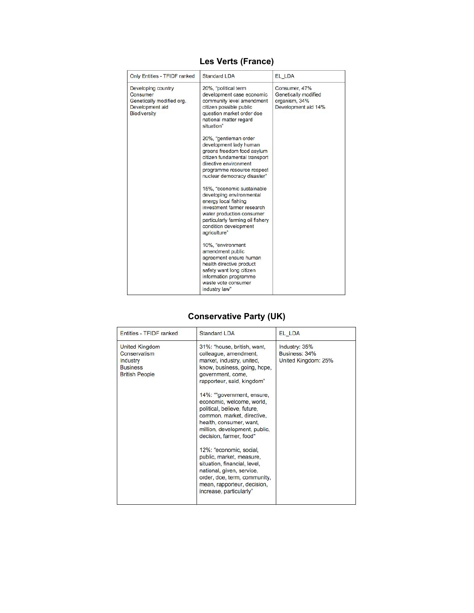# **Les Verts (France)**

| Only Entities - TFIDF ranked                                                                          | <b>Standard LDA</b>                                                                                                                                                                                                                                                                                                                                                                                                                                                                                                                                                                                                                                                                                                                                                                                          | EL LDA                                                                        |
|-------------------------------------------------------------------------------------------------------|--------------------------------------------------------------------------------------------------------------------------------------------------------------------------------------------------------------------------------------------------------------------------------------------------------------------------------------------------------------------------------------------------------------------------------------------------------------------------------------------------------------------------------------------------------------------------------------------------------------------------------------------------------------------------------------------------------------------------------------------------------------------------------------------------------------|-------------------------------------------------------------------------------|
| Developing country<br>Consumer<br>Genetically modified org.<br>Development aid<br><b>Biodiversity</b> | 20%, "political term<br>development case economic<br>community level amendment<br>citizen possible public<br>question market order doe<br>national matter regard<br>situation"<br>20%, "gentleman order<br>development lady human<br>greens freedom food asylum<br>citizen fundamental transport<br>directive environment<br>programme resource respect<br>nuclear democracy disaster"<br>15%, "economic sustainable<br>developing environmental<br>energy local fishing<br>investment farmer research<br>water production consumer<br>particularly farming oil fishery<br>condition development<br>agriculture"<br>10%, "environment<br>amendment public<br>agreement ensure human<br>health directive product<br>safety want long citizen<br>information programme<br>waste vote consumer<br>industry law" | Consumer, 47%<br>Genetically modified<br>organism, 34%<br>Development aid 14% |

# **Conservative Party (UK)**

| Entities - TFIDF ranked                                                                       | <b>Standard LDA</b>                                                                                                                                                                                                                                                                                                     | EL LDA                                                |
|-----------------------------------------------------------------------------------------------|-------------------------------------------------------------------------------------------------------------------------------------------------------------------------------------------------------------------------------------------------------------------------------------------------------------------------|-------------------------------------------------------|
| <b>United Kingdom</b><br>Conservatism<br>Industry<br><b>Business</b><br><b>British People</b> | 31%: "house, british, want,<br>colleague, amendment,<br>market, industry, united,<br>know, business, going, hope,<br>government, come,<br>rapporteur, said, kingdom"<br>14%: ""government, ensure,<br>economic, welcome, world,<br>political, believe, future,<br>common, market, directive,<br>health, consumer, want, | Industry: 35%<br>Business: 34%<br>United Kingdom: 25% |
|                                                                                               | million, development, public,<br>decision, farmer, food"<br>12%: "economic, social,<br>public, market, measure,<br>situation, financial, level,<br>national, given, service,<br>order, doe, term, community,<br>mean, rapporteur, decision,<br>increase, particularly"                                                  |                                                       |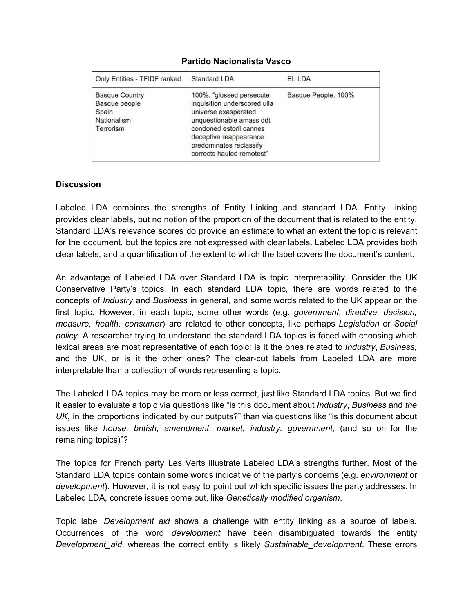#### **Partido Nacionalista Vasco**

| Only Entities - TFIDF ranked                                                       | Standard LDA                                                                                                                                                                                                              | <b>EL LDA</b>       |
|------------------------------------------------------------------------------------|---------------------------------------------------------------------------------------------------------------------------------------------------------------------------------------------------------------------------|---------------------|
| <b>Basque Country</b><br>Basque people<br>Spain<br><b>Nationalism</b><br>Terrorism | 100%, "glossed persecute<br>inquisition underscored ulla<br>universe exasperated<br>unquestionable amass ddt<br>condoned estoril cannes<br>deceptive reappearance<br>predominates reclassify<br>corrects hauled remotest" | Basque People, 100% |

## **Discussion**

Labeled LDA combines the strengths of Entity Linking and standard LDA. Entity Linking provides clear labels, but no notion of the proportion of the document that is related to the entity. Standard LDA's relevance scores do provide an estimate to what an extent the topic is relevant for the document, but the topics are not expressed with clear labels. Labeled LDA provides both clear labels, and a quantification of the extent to which the label covers the document's content.

An advantage of Labeled LDA over Standard LDA is topic interpretability. Consider the UK Conservative Party's topics. In each standard LDA topic, there are words related to the concepts of *Industry* and *Business* in general, and some words related to the UK appear on the first topic. However, in each topic, some other words (e.g. *government, directive, decision, measure, health, consumer*) are related to other concepts, like perhaps *Legislation* or *Social policy*. A researcher trying to understand the standard LDA topics is faced with choosing which lexical areas are most representative of each topic: is it the ones related to *Industry*, *Business*, and the UK, or is it the other ones? The clear-cut labels from Labeled LDA are more interpretable than a collection of words representing a topic.

The Labeled LDA topics may be more or less correct, just like Standard LDA topics. But we find it easier to evaluate a topic via questions like "is this document about *Industry*, *Business* and *the* UK, in the proportions indicated by our outputs?" than via questions like "is this document about issues like *house, british, amendment, market, industry, government,* (and so on for the remaining topics)"?

The topics for French party Les Verts illustrate Labeled LDA's strengths further. Most of the Standard LDA topics contain some words indicative of the party's concerns (e.g. *environment* or *development*). However, it is not easy to point out which specific issues the party addresses. In Labeled LDA, concrete issues come out, like *Genetically modified organism*.

Topic label *Development aid* shows a challenge with entity linking as a source of labels. Occurrences of the word *development* have been disambiguated towards the entity *Development\_aid*, whereas the correct entity is likely *Sustainable\_development*. These errors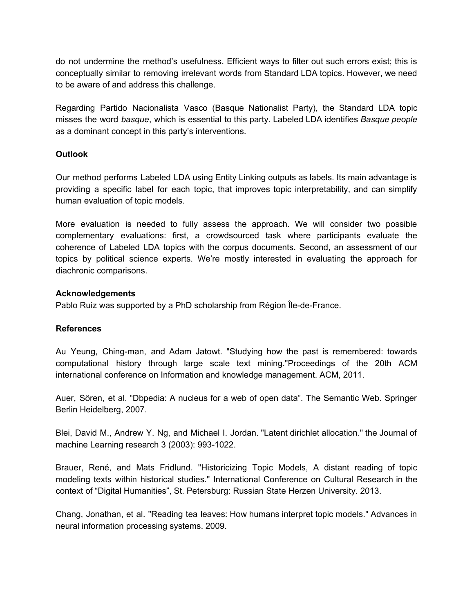do not undermine the method's usefulness. Efficient ways to filter out such errors exist; this is conceptually similar to removing irrelevant words from Standard LDA topics. However, we need to be aware of and address this challenge.

Regarding Partido Nacionalista Vasco (Basque Nationalist Party), the Standard LDA topic misses the word *basque*, which is essential to this party. Labeled LDA identifies *Basque people* as a dominant concept in this party's interventions.

## **Outlook**

Our method performs Labeled LDA using Entity Linking outputs as labels. Its main advantage is providing a specific label for each topic, that improves topic interpretability, and can simplify human evaluation of topic models.

More evaluation is needed to fully assess the approach. We will consider two possible complementary evaluations: first, a crowdsourced task where participants evaluate the coherence of Labeled LDA topics with the corpus documents. Second, an assessment of our topics by political science experts. We're mostly interested in evaluating the approach for diachronic comparisons.

### **Acknowledgements**

Pablo Ruiz was supported by a PhD scholarship from Région Île-de-France.

### **References**

Au Yeung, Ching-man, and Adam Jatowt. "Studying how the past is remembered: towards computational history through large scale text mining."Proceedings of the 20th ACM international conference on Information and knowledge management. ACM, 2011.

Auer, Sören, et al. "Dbpedia: A nucleus for a web of open data". The Semantic Web. Springer Berlin Heidelberg, 2007.

Blei, David M., Andrew Y. Ng, and Michael I. Jordan. "Latent dirichlet allocation." the Journal of machine Learning research 3 (2003): 993-1022.

Brauer, René, and Mats Fridlund. "Historicizing Topic Models, A distant reading of topic modeling texts within historical studies." International Conference on Cultural Research in the context of "Digital Humanities", St. Petersburg: Russian State Herzen University. 2013.

Chang, Jonathan, et al. "Reading tea leaves: How humans interpret topic models." Advances in neural information processing systems. 2009.